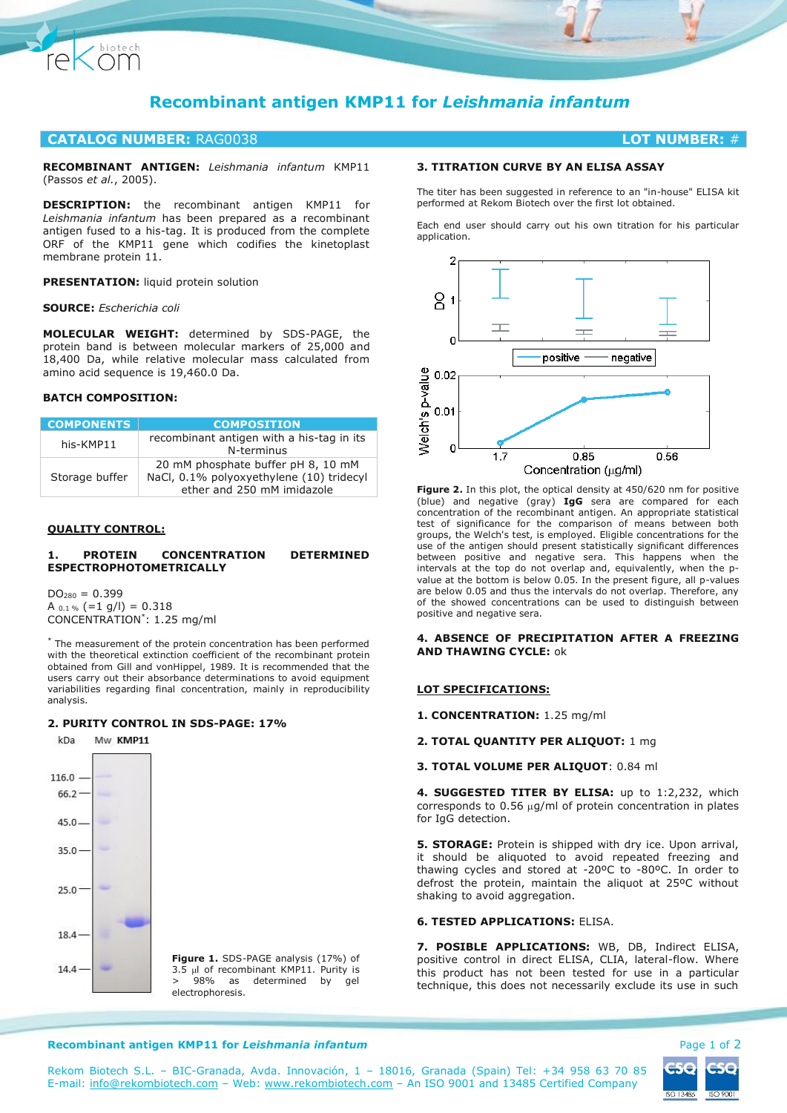

# **CATALOG NUMBER:** RAG0038 **LOT NUMBER:** #

**RECOMBINANT ANTIGEN:** *Leishmania infantum* KMP11 (Passos *et al.*, 2005).

**DESCRIPTION:** the recombinant antigen KMP11 for *Leishmania infantum* has been prepared as a recombinant antigen fused to a his-tag. It is produced from the complete ORF of the KMP11 gene which codifies the kinetoplast membrane protein 11.

**PRESENTATION:** liquid protein solution

**SOURCE:** *Escherichia coli*

 $\bigotimes^{\text{biotech}}$ 

rel

**MOLECULAR WEIGHT:** determined by SDS-PAGE, the protein band is between molecular markers of 25,000 and 18,400 Da, while relative molecular mass calculated from amino acid sequence is 19,460.0 Da.

# **BATCH COMPOSITION:**

| <b>COMPONENTS</b> | <b>COMPOSITION</b>                                                                                           |
|-------------------|--------------------------------------------------------------------------------------------------------------|
| his-KMP11         | recombinant antigen with a his-tag in its<br>N-terminus                                                      |
| Storage buffer    | 20 mM phosphate buffer pH 8, 10 mM<br>NaCl, 0.1% polyoxyethylene (10) tridecyl<br>ether and 250 mM imidazole |

## **QUALITY CONTROL:**

## **1. PROTEIN CONCENTRATION DETERMINED ESPECTROPHOTOMETRICALLY**

 $DO<sub>280</sub> = 0.399$ A  $_{0.1\%}$  (=1 g/l) = 0.318 CONCENTRATION\* : 1.25 mg/ml

\* The measurement of the protein concentration has been performed with the theoretical extinction coefficient of the recombinant protein obtained from Gill and vonHippel, 1989. It is recommended that the users carry out their absorbance determinations to avoid equipment variabilities regarding final concentration, mainly in reproducibility analysis.

## **2. PURITY CONTROL IN SDS-PAGE: 17%**



66.2

 $45.0 -$ 

 $35.0$ 

 $25.0$ 

18.4

14.4



# **3. TITRATION CURVE BY AN ELISA ASSAY**

The titer has been suggested in reference to an "in-house" ELISA kit performed at Rekom Biotech over the first lot obtained.

Each end user should carry out his own titration for his particular application.



**Figure 2.** In this plot, the optical density at 450/620 nm for positive (blue) and negative (gray) **IgG** sera are compared for each concentration of the recombinant antigen. An appropriate statistical test of significance for the comparison of means between both groups, the Welch's test, is employed. Eligible concentrations for the use of the antigen should present statistically significant differences between positive and negative sera. This happens when the intervals at the top do not overlap and, equivalently, when the pvalue at the bottom is below 0.05. In the present figure, all p-values are below 0.05 and thus the intervals do not overlap. Therefore, any of the showed concentrations can be used to distinguish between positive and negative sera.

### **4. ABSENCE OF PRECIPITATION AFTER A FREEZING AND THAWING CYCLE:** ok

#### **LOT SPECIFICATIONS:**

**1. CONCENTRATION:** 1.25 mg/ml

**2. TOTAL QUANTITY PER ALIQUOT:** 1 mg

**3. TOTAL VOLUME PER ALIQUOT**: 0.84 ml

**4. SUGGESTED TITER BY ELISA:** up to 1:2,232, which corresponds to  $0.56 \mu g/ml$  of protein concentration in plates for IgG detection.

**5. STORAGE:** Protein is shipped with dry ice. Upon arrival, it should be aliquoted to avoid repeated freezing and thawing cycles and stored at -20ºC to -80ºC. In order to defrost the protein, maintain the aliquot at 25ºC without shaking to avoid aggregation.

### **6. TESTED APPLICATIONS:** ELISA.

**7. POSIBLE APPLICATIONS:** WB, DB, Indirect ELISA, positive control in direct ELISA, CLIA, lateral-flow. Where this product has not been tested for use in a particular technique, this does not necessarily exclude its use in such

#### **Recombinant antigen KMP11 for Leishmania infantum Page 1 of 2 Page 1 of 2**



Rekom Biotech S.L. – BIC-Granada, Avda. Innovación, 1 – 18016, Granada (Spain) Tel: +34 958 63 70 85 E-mail: [info@rekombiotech.com](mailto:info@rekombiotech.com) – Web: [www.rekombiotech.com](file:///D:/Dropbox/Rekom/pdfs/www.rekombiotech.com) – An ISO 9001 and 13485 Certified Company